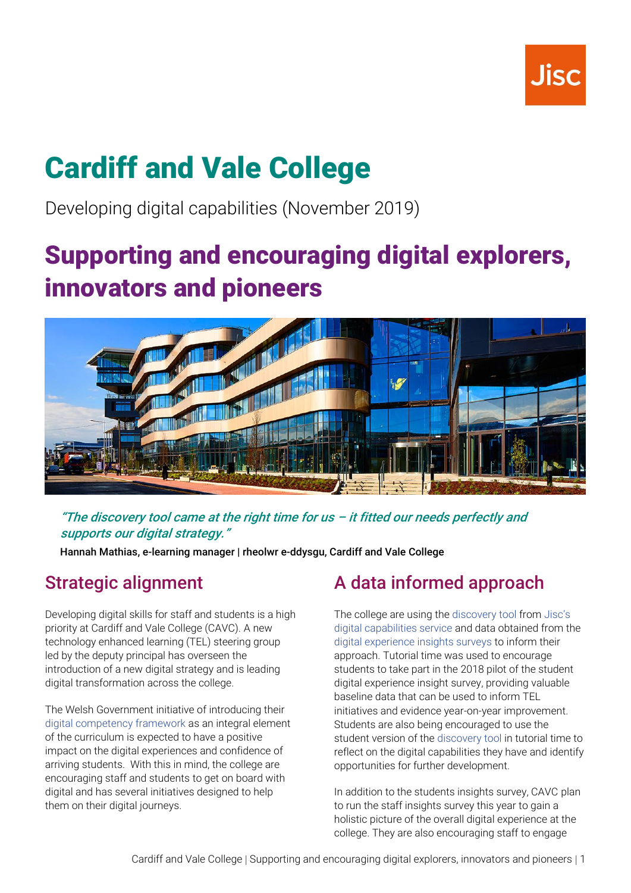

# **Cardiff and Vale College**

Developing digital capabilities (November 2019)

## **Supporting and encouraging digital explorers, innovators and pioneers**



"The discovery tool came at the right time for us  $-$  it fitted our needs perfectly and supports our digital strategy."

Hannah Mathias, e-learning manager | rheolwr e-ddysgu, Cardiff and Vale College

### Strategic alignment

Developing digital skills for staff and students is a high priority at Cardiff and Vale College (CAVC). A new technology enhanced learning (TEL) steering group led by the deputy principal has overseen the introduction of a new digital strategy and is leading digital transformation across the college.

The Welsh Government initiative of introducing their [digital competency framework](https://www.gwegogledd.cymru/index.php/curriculum-support/y-fframwaith-cymhwysedd-digidol-a-dysgu-yn-y-gymru-ddigidol/?lang=en) as an integral element of the curriculum is expected to have a positive impact on the digital experiences and confidence of arriving students. With this in mind, the college are encouraging staff and students to get on board with digital and has several initiatives designed to help them on their digital journeys.

### A data informed approach

The college are using the [discovery tool](https://digitalcapability.jisc.ac.uk/our-service/discovery-tool/) from [Jisc's](https://digitalcapability.jisc.ac.uk/)  [digital capabilities service](https://digitalcapability.jisc.ac.uk/) and data obtained from the [digital experience insights surveys](https://digitalinsights.jisc.ac.uk/) to inform their approach. Tutorial time was used to encourage students to take part in the 2018 pilot of the student digital experience insight survey, providing valuable baseline data that can be used to inform TEL initiatives and evidence year-on-year improvement. Students are also being encouraged to use the student version of the [discovery tool](https://digitalcapability.jisc.ac.uk/our-service/discovery-tool/) in tutorial time to reflect on the digital capabilities they have and identify opportunities for further development.

In addition to the students insights survey, CAVC plan to run the staff insights survey this year to gain a holistic picture of the overall digital experience at the college. They are also encouraging staff to engage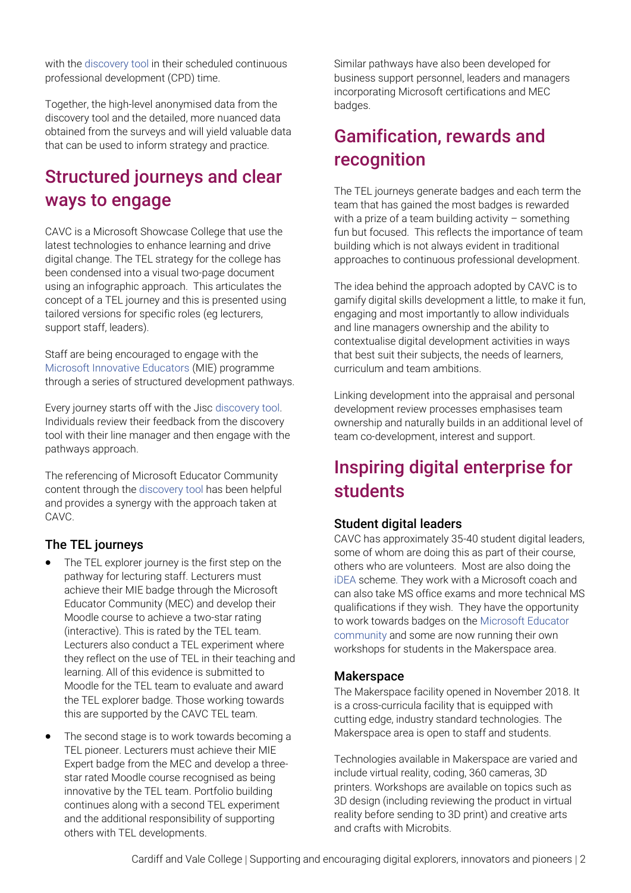with the [discovery tool](file:///C:/Users/clare.killen/AppData/Local/Microsoft/Windows/INetCache/Content.Outlook/TIRQ3N02/discovery%20tool) in their scheduled continuous professional development (CPD) time.

Together, the high-level anonymised data from the discovery tool and the detailed, more nuanced data obtained from the surveys and will yield valuable data that can be used to inform strategy and practice.

### Structured journeys and clear ways to engage

CAVC is a Microsoft Showcase College that use the latest technologies to enhance learning and drive digital change. The TEL strategy for the college has been condensed into a visual two-page document using an infographic approach. This articulates the concept of a TEL journey and this is presented using tailored versions for specific roles (eg lecturers, support staff, leaders).

Staff are being encouraged to engage with the [Microsoft Innovative Educators](https://education.microsoft.com/microsoft-innovative-educator-programs/mie-expert) (MIE) programme through a series of structured development pathways.

Every journey starts off with the Jisc [discovery tool.](https://digitalcapability.jisc.ac.uk/our-service/discovery-tool/) Individuals review their feedback from the discovery tool with their line manager and then engage with the pathways approach.

The referencing of Microsoft Educator Community content through the [discovery tool](https://digitalcapability.jisc.ac.uk/our-service/discovery-tool/) has been helpful and provides a synergy with the approach taken at CAVC.

#### The TEL journeys

- The TEL explorer journey is the first step on the pathway for lecturing staff. Lecturers must achieve their MIE badge through the Microsoft Educator Community (MEC) and develop their Moodle course to achieve a two-star rating (interactive). This is rated by the TEL team. Lecturers also conduct a TEL experiment where they reflect on the use of TEL in their teaching and learning. All of this evidence is submitted to Moodle for the TEL team to evaluate and award the TEL explorer badge. Those working towards this are supported by the CAVC TEL team.
- The second stage is to work towards becoming a TEL pioneer. Lecturers must achieve their MIE Expert badge from the MEC and develop a threestar rated Moodle course recognised as being innovative by the TEL team. Portfolio building continues along with a second TEL experiment and the additional responsibility of supporting others with TEL developments.

Similar pathways have also been developed for business support personnel, leaders and managers incorporating Microsoft certifications and MEC badges.

### Gamification, rewards and recognition

The TEL journeys generate badges and each term the team that has gained the most badges is rewarded with a prize of a team building activity – something fun but focused. This reflects the importance of team building which is not always evident in traditional approaches to continuous professional development.

The idea behind the approach adopted by CAVC is to gamify digital skills development a little, to make it fun, engaging and most importantly to allow individuals and line managers ownership and the ability to contextualise digital development activities in ways that best suit their subjects, the needs of learners, curriculum and team ambitions.

Linking development into the appraisal and personal development review processes emphasises team ownership and naturally builds in an additional level of team co-development, interest and support.

### Inspiring digital enterprise for students

#### Student digital leaders

CAVC has approximately 35-40 student digital leaders, some of whom are doing this as part of their course, others who are volunteers. Most are also doing the [iDEA](https://idea.org.uk/) scheme. They work with a Microsoft coach and can also take MS office exams and more technical MS qualifications if they wish. They have the opportunity to work towards badges on the [Microsoft Educator](https://education.microsoft.com/)  [community](https://education.microsoft.com/) and some are now running their own workshops for students in the Makerspace area.

#### **Makerspace**

The Makerspace facility opened in November 2018. It is a cross-curricula facility that is equipped with cutting edge, industry standard technologies. The Makerspace area is open to staff and students.

Technologies available in Makerspace are varied and include virtual reality, coding, 360 cameras, 3D printers. Workshops are available on topics such as 3D design (including reviewing the product in virtual reality before sending to 3D print) and creative arts and crafts with Microbits.